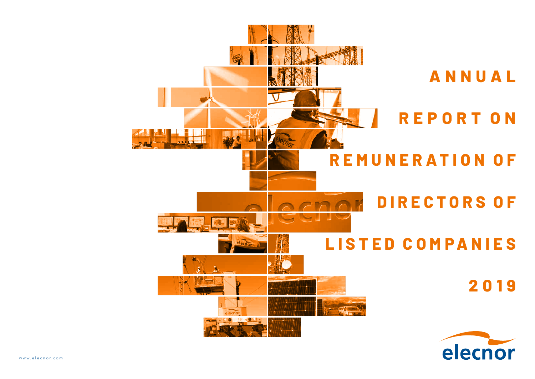

**A N N U A L REPORT O N REMUNER ATION OF D I R E C T O R S O F LISTED COMPANIES 2019**

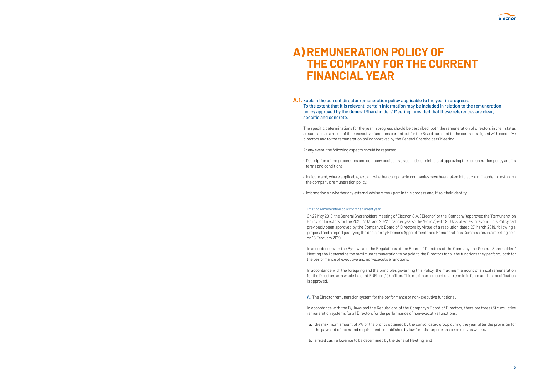## **A) REMUNERATION POLICY OF THE COMPANY FOR THE CURRENT FINANCIAL YEAR**

**A.1.** Explain the current director remuneration policy applicable to the year in progress. To the extent that it is relevant, certain information may be included in relation to the remuneration policy approved by the General Shareholders' Meeting, provided that these references are clear, specific and concrete.

The specific determinations for the year in progress should be described, both the remuneration of directors in their status as such and as a result of their executive functions carried out for the Board pursuant to the contracts signed with executive directors and to the remuneration policy approved by the General Shareholders' Meeting.

At any event, the following aspects should be reported:

• Description of the procedures and company bodies involved in determining and approving the remuneration policy and its

• Indicate and, where applicable, explain whether comparable companies have been taken into account in order to establish

- terms and conditions.
- the company's remuneration policy.
- Information on whether any external advisors took part in this process and, if so, their identity.

#### Existing remuneration policy for the current year:

On 22 May 2019, the General Shareholders' Meeting of Elecnor, S.A. ("Elecnor" or the "Company") approved the "Remuneration Policy for Directors for the 2020, 2021 and 2022 financial years" (the "Policy") with 95.07% of votes in favour. This Policy had previously been approved by the Company's Board of Directors by virtue of a resolution dated 27 March 2019, following a proposal and a report justifying the decision by Elecnor's Appointments and Remunerations Commission, in a meeting held on 18 February 2019.

In accordance with the By-laws and the Regulations of the Board of Directors of the Company, the General Shareholders' Meeting shall determine the maximum remuneration to be paid to the Directors for all the functions they perform, both for the performance of executive and non-executive functions.

In accordance with the foregoing and the principles governing this Policy, the maximum amount of annual remuneration for the Directors as a whole is set at EUR ten (10) million. This maximum amount shall remain in force until its modification is approved.

**A.** The Director remuneration system for the performance of non-executive functions .

In accordance with the By-laws and the Regulations of the Company's Board of Directors, there are three (3) cumulative remuneration systems for all Directors for the performance of non-executive functions:

a. the maximum amount of 7% of the profits obtained by the consolidated group during the year, after the provision for

the payment of taxes and requirements established by law for this purpose has been met, as well as,

b. a fixed cash allowance to be determined by the General Meeting, and

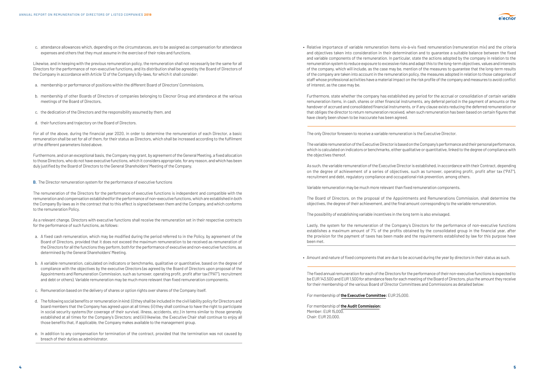c. attendance allowances which, depending on the circumstances, are to be assigned as compensation for attendance expenses and others that they must assume in the exercise of their roles and functions.

Likewise, and in keeping with the previous remuneration policy, the remuneration shall not necessarily be the same for all Directors for the performance of non-executive functions, and its distribution shall be agreed by the Board of Directors of the Company in accordance with Article 12 of the Company's By-laws, for which it shall consider:

- a. membership or performance of positions within the different Board of Directors' Commissions,
- b. membership of other Boards of Directors of companies belonging to Elecnor Group and attendance at the various meetings of the Board of Directors,
- c. the dedication of the Directors and the responsibility assumed by them, and
- d. their functions and trajectory on the Board of Directors.

For all of the above, during the financial year 2020, in order to determine the remuneration of each Director, a basic remuneration shall be set for all of them, for their status as Directors, which shall be increased according to the fulfilment of the different parameters listed above.

Furthermore, and on an exceptional basis, the Company may grant, by agreement of the General Meeting, a fixed allocation to those Directors, who do not have executive functions, which it considers appropriate, for any reason, and which has been duly justified by the Board of Directors to the General Shareholders' Meeting of the Company.

#### **B.** The Director remuneration system for the performance of executive functions

The remuneration of the Directors for the performance of executive functions is independent and compatible with the remuneration and compensation established for the performance of non-executive functions, which are established in both the Company By-laws as in the contract that to this effect is signed between them and the Company, and which conforms to the remuneration Policy.

As a relevant change, Directors with executive functions shall receive the remuneration set in their respective contracts for the performance of such functions, as follows:

- a. A fixed cash remuneration, which may be modified during the period referred to in the Policy, by agreement of the Board of Directors, provided that it does not exceed the maximum remuneration to be received as remuneration of the Directors for all the functions they perform, both for the performance of executive and non-executive functions, as determined by the General Shareholders' Meeting.
- b. A variable remuneration, calculated on indicators or benchmarks, qualitative or quantitative, based on the degree of compliance with the objectives by the executive Directors (as agreed by the Board of Directors upon proposal of the Appointments and Remuneration Commission, such as turnover, operating profit, profit after tax ("PAT"), recruitment and debt or others). Variable remuneration may be much more relevant than fixed remuneration components.
- c. Remuneration based on the delivery of shares or option rights over shares of the Company itself.
- d. The following social benefits or remuneration in kind: (i) they shall be included in the civil liability policy for Directors and board members that the Company has agreed upon at all times; (ii) they shall continue to have the right to participate in social security systems (for coverage of their survival, illness, accidents, etc.) in terms similar to those generally established at all times for the Company's Directors; and (iii) likewise, the Executive Chair shall continue to enjoy all those benefits that, if applicable, the Company makes available to the management group.
- e. In addition to any compensation for termination of the contract, provided that the termination was not caused by breach of their duties as administrator.

• Relative importance of variable remuneration items vis-à-vis fixed remuneration (remuneration mix) and the criteria and objectives taken into consideration in their determination and to guarantee a suitable balance between the fixed and variable components of the remuneration. In particular, state the actions adopted by the company in relation to the remuneration system to reduce exposure to excessive risks and adapt this to the long-term objectives, values and interests of the company, which will include, as the case may be, mention of the measures to guarantee that the long-term results of the company are taken into account in the remuneration policy, the measures adopted in relation to those categories of staff whose professional activities have a material impact on the risk profile of the company and measures to avoid conflict

of interest, as the case may be.

• Furthermore, state whether the company has established any period for the accrual or consolidation of certain variable remuneration items, in cash, shares or other financial instruments, any deferral period in the payment of amounts or the handover of accrued and consolidated financial instruments, or if any clause exists reducing the deferred remuneration or that obliges the director to return remuneration received, when such remuneration has been based on certain figures that have clearly been shown to be inaccurate has been agreed.

The only Director foreseen to receive a variable remuneration is the Executive Director.

 The variable remuneration of the Executive Director is based on the Company's performance and their personal performance, which is calculated on indicators or benchmarks, either qualitative or quantitative, linked to the degree of compliance with the objectives thereof.

 As such, the variable remuneration of the Executive Director is established, in accordance with their Contract, depending on the degree of achievement of a series of objectives, such as turnover, operating profit, profit after tax ("PAT"), recruitment and debt, regulatory compliance and occupational risk prevention, among others.

Variable remuneration may be much more relevant than fixed remuneration components.

 The Board of Directors, on the proposal of the Appointments and Remunerations Commission, shall determine the objectives, the degree of their achievement, and the final amount corresponding to the variable remuneration.

The possibility of establishing variable incentives in the long term is also envisaged.

 Lastly, the system for the remuneration of the Company's Directors for the performance of non-executive functions establishes a maximum amount of 7% of the profits obtained by the consolidated group in the financial year, after the provision for the payment of taxes has been made and the requirements established by law for this purpose have been met.

• Amount and nature of fixed components that are due to be accrued during the year by directors in their status as such.

The fixed annual remuneration for each of the Directors for the performance of their non-executive functions is expected to be EUR 143,500 and EUR 1,500 for attendance fees for each meeting of the Board of Directors, plus the amount they receive for their membership of the various Board of Director Committees and Commissions as detailed below:

For membership of **the Executive Committee:** EUR 25,000.

For membership of **the Audit Commission:** Member: EUR 15,000. Chair: EUR 20,000.

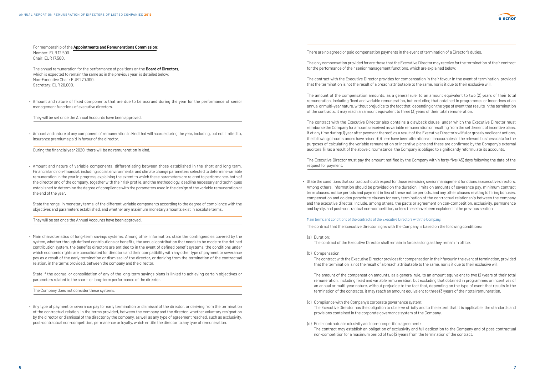For membership of the **Appointments and Remunerations Commission:** Member: EUR 12,500. Chair: EUR 17,500.

The annual remuneration for the performance of positions on the **Board of Directors,** which is expected to remain the same as in the previous year, is detailed below: Non-Executive Chair: EUR 270,000. Secretary: EUR 20,000.

• Amount and nature of fixed components that are due to be accrued during the year for the performance of senior management functions of executive directors.

They will be set once the Annual Accounts have been approved.

• Amount and nature of any component of remuneration in kind that will accrue during the year, including, but not limited to, insurance premiums paid in favour of the director.

During the financial year 2020, there will be no remuneration in kind.

• Amount and nature of variable components, differentiating between those established in the short and long term. Financial and non-financial, including social, environmental and climate change parameters selected to determine variable remuneration in the year in progress, explaining the extent to which these parameters are related to performance, both of the director and of the company, together with their risk profile, and the methodology, deadline necessary and techniques established to determine the degree of compliance with the parameters used in the design of the variable remuneration at the end of the year.

• State the range, in monetary terms, of the different variable components according to the degree of compliance with the objectives and parameters established, and whether any maximum monetary amounts exist in absolute terms.

They will be set once the Annual Accounts have been approved.

• Main characteristics of long-term savings systems. Among other information, state the contingencies covered by the system, whether through defined contributions or benefits, the annual contribution that needs to be made to the defined contribution system, the benefits directors are entitled to in the event of defined benefit systems, the conditions under which economic rights are consolidated for directors and their compatibility with any other type of payment or severance pay as a result of the early termination or dismissal of the director, or deriving from the termination of the contractual relation, in the terms provided, between the company and the director.

• State if the accrual or consolidation of any of the long-term savings plans is linked to achieving certain objectives or parameters related to the short- or long-term performance of the director.

The Company does not consider these systems.

• Any type of payment or severance pay for early termination or dismissal of the director, or deriving from the termination of the contractual relation, in the terms provided, between the company and the director, whether voluntary resignation by the director or dismissal of the director by the company, as well as any type of agreement reached, such as exclusivity, post-contractual non-competition, permanence or loyalty, which entitle the director to any type of remuneration.

There are no agreed or paid compensation payments in the event of termination of a Director's duties.

The only compensation provided for are those that the Executive Director may receive for the termination of their contract for the performance of their senior management functions, which are explained below:

The contract with the Executive Director provides for compensation in their favour in the event of termination, provided that the termination is not the result of a breach attributable to the same, nor is it due to their exclusive will.

The amount of the compensation amounts, as a general rule, to an amount equivalent to two (2) years of their total remuneration, including fixed and variable remuneration, but excluding that obtained in programmes or incentives of an annual or multi-year nature, without prejudice to the fact that, depending on the type of event that results in the termination of the contracts, it may reach an amount equivalent to three (3) years of their total remuneration.

The contract with the Executive Director also contains a clawback clause, under which the Executive Director must reimburse the Company for amounts received as variable remuneration or resulting from the settlement of incentive plans, if at any time during (1) year after payment thereof, as a result of the Executive Director's wilful or grossly negligent actions, the following circumstances have arisen: (i) there have been alterations or inaccuracies in the relevant business data for the purposes of calculating the variable remuneration or incentive plans and these are confirmed by the Company's external auditors; (ii) as a result of the above circumstance, the Company is obliged to significantly reformulate its accounts.

The Executive Director must pay the amount notified by the Company within forty-five (45) days following the date of the request for payment.

• State the conditions that contracts should respect for those exercising senior management functions as executive directors. Among others, information should be provided on the duration, limits on amounts of severance pay, minimum contract term clauses, notice periods and payment in lieu of these notice periods, and any other clauses relating to hiring bonuses, compensation and golden parachute clauses for early termination of the contractual relationship between the company and the executive director. Include, among others, the pacts or agreement on con-competition, exclusivity, permanence

and loyalty, and post-contractual non-competition, unless these have been explained in the previous section.

Main terms and conditions of the contracts of the Executive Directors with the Company.

The contract that the Executive Director signs with the Company is based on the following conditions:

(a) Duration:

The contract of the Executive Director shall remain in force as long as they remain in office.

(b) Compensation:

 The contract with the Executive Director provides for compensation in their favour in the event of termination, provided that the termination is not the result of a breach attributable to the same, nor is it due to their exclusive will.

 The amount of the compensation amounts, as a general rule, to an amount equivalent to two (2) years of their total remuneration, including fixed and variable remuneration, but excluding that obtained in programmes or incentives of an annual or multi-year nature, without prejudice to the fact that, depending on the type of event that results in the termination of the contracts, it may reach an amount equivalent to three (3) years of their total remuneration.

The Executive Director has the obligation to observe strictly and to the extent that it is applicable, the standards and

- (c) Compliance with the Company's corporate governance system: provisions contained in the corporate governance system of the Company.
- (d) Post-contractual exclusivity and non-competition agreement: non-competition for a maximum period of two (2) years from the termination of the contract.



The contract may establish an obligation of exclusivity and full dedication to the Company and of post-contractual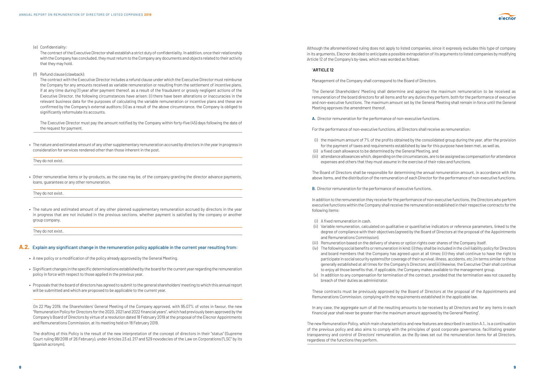(e) Confidentiality:

 The contract of the Executive Director shall establish a strict duty of confidentiality. In addition, once their relationship with the Company has concluded, they must return to the Company any documents and objects related to their activity that they may hold.

(f) Refund clause (clawback):

 The contract with the Executive Director includes a refund clause under which the Executive Director must reimburse the Company for any amounts received as variable remuneration or resulting from the settlement of incentive plans, if at any time during (1) year after payment thereof, as a result of the fraudulent or grossly negligent actions of the Executive Director, the following circumstances have arisen: (i) there have been alterations or inaccuracies in the relevant business data for the purposes of calculating the variable remuneration or incentive plans and these are confirmed by the Company's external auditors; (ii) as a result of the above circumstance, the Company is obliged to significantly reformulate its accounts.

- A new policy or a modification of the policy already approved by the General Meeting.
- Significant changes in the specific determinations established by the board for the current year regarding the remuneration policy in force with respect to those applied in the previous year.
- Proposals that the board of directors has agreed to submit to the general shareholders' meeting to which this annual report will be submitted and which are proposed to be applicable to the current year.

 The Executive Director must pay the amount notified by the Company within forty-five (45) days following the date of the request for payment.

• The nature and estimated amount of any other supplementary remuneration accrued by directors in the year in progress in consideration for services rendered other than those inherent in the post.

They do not exist.

• Other remunerative items or by-products, as the case may be, of the company granting the director advance payments, loans, guarantees or any other remuneration.

They do not exist.

• The nature and estimated amount of any other planned supplementary remuneration accrued by directors in the year in progress that are not included in the previous sections, whether payment is satisfied by the company or another group company.

They do not exist.

#### **A.2.** Explain any significant change in the remuneration policy applicable in the current year resulting from:

On 22 May 2019, the Shareholders' General Meeting of the Company approved, with 95.07% of votes in favour, the new "Remuneration Policy for Directors for the 2020, 2021 and 2022 financial years", which had previously been approved by the Company's Board of Directors by virtue of a resolution dated 18 February 2019 at the proposal of the Elecnor Appointments and Remunerations Commission, at its meeting held on 18 February 2019.

The drafting of this Policy is the result of the new interpretation of the concept of directors in their "status" (Supreme Court ruling 98/2018 of 26 February), under Articles 23.e), 217 and 529 novodecies of the Law on Corporations ("LSC" by its Spanish acronym).

Although the aforementioned ruling does not apply to listed companies, since it expressly excludes this type of company in its arguments, Elecnor decided to anticipate a possible extrapolation of its arguments to listed companies by modifying Article 12 of the Company's by-laws, which was worded as follows:

#### "**ARTICLE 12**

Management of the Company shall correspond to the Board of Directors.

 The General Shareholders' Meeting shall determine and approve the maximum remuneration to be received as remuneration of the board directors for all items and for any duties they perform, both for the performance of executive and non-executive functions. The maximum amount set by the General Meeting shall remain in force until the General Meeting approves the amendment thereof.

**A.** Director remuneration for the performance of non-executive functions.

For the performance of non-executive functions, all Directors shall receive as remuneration:

 (i) the maximum amount of 7% of the profits obtained by the consolidated group during the year, after the provision for the payment of taxes and requirements established by law for this purpose have been met, as well as,

(iii) attendance allowances which, depending on the circumstances, are to be assigned as compensation for attendance

- 
- (ii) a fixed cash allowance to be determined by the General Meeting, and
- expenses and others that they must assume in the exercise of their roles and functions.

 The Board of Directors shall be responsible for determining the annual remuneration amount, in accordance with the above items, and the distribution of the remuneration of each Director for the performance of non-executive functions.

**B.** Director remuneration for the performance of executive functions.

 In addition to the remuneration they receive for the performance of non-executive functions, the Directors who perform executive functions within the Company shall receive the remuneration established in their respective contracts for the following items:

 (ii) Variable remuneration, calculated on qualitative or quantitative indicators or reference parameters, linked to the degree of compliance with their objectives (agreed by the Board of Directors at the proposal of the Appointments

(iii) Remuneration based on the delivery of shares or option rights over shares of the Company itself.

- (i) A fixed remuneration in cash.
- and Remunerations Commission).
- 
- 
- breach of their duties as administrator.

 (iv) The following social benefits or remuneration in kind: (i) they shall be included in the civil liability policy for Directors and board members that the Company has agreed upon at all times; (ii) they shall continue to have the right to participate in social security systems (for coverage of their survival, illness, accidents, etc.) in terms similar to those generally established at all times for the Company's Directors; and (iii) likewise, the Executive Chair shall continue to enjoy all those benefits that, if applicable, the Company makes available to the management group.

(v) In addition to any compensation for termination of the contract, provided that the termination was not caused by

 These contracts must be previously approved by the Board of Directors at the proposal of the Appointments and Remunerations Commission, complying with the requirements established in the applicable law.

 In any case, the aggregate sum of all the resulting amounts to be received by all Directors and for any items in each financial year shall never be greater than the maximum amount approved by the General Meeting".

The new Remuneration Policy, which main characteristics and new features are described in section A.1., is a continuation of the previous policy and also aims to comply with the principles of good corporate governance, facilitating greater transparency and control of Directors' remuneration, as the By-laws set out the remuneration items for all Directors, regardless of the functions they perform.

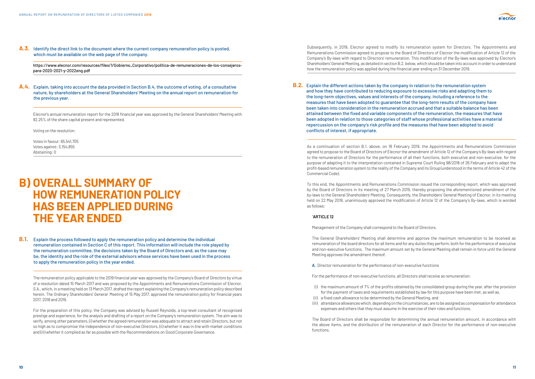

**A.3.** Identify the direct link to the document where the current company remuneration policy is posted, which must be available on the web page of the company.

https://www.elecnor.com/resources/files/1/Gobierno\_Corporativo/politica-de-remuneraciones-de-los-consejerospara-2020-2021-y-2022eng.pdf

**A.4.** Explain, taking into account the data provided in Section B.4, the outcome of voting, of a consultative nature, by shareholders at the General Shareholders' Meeting on the annual report on remuneration for the previous year.

Elecnor's annual remuneration report for the 2018 financial year was approved by the General Shareholders' Meeting with 92.25% of the share capital present and represented.

Voting on the resolution:

Votes in favour: 65,541,705 Votes against: 3,154,855 Abstaining: 0

## **B) OVERALL SUMMARY OF HOW REMUNERATION POLICY HAS BEEN APPLIED DURING THE YEAR ENDED**

**B.1.** Explain the process followed to apply the remuneration policy and determine the individual remuneration contained in Section C of this report. This information will include the role played by the remuneration committee, the decisions taken by the Board of Directors and, as the case may be, the identity and the role of the external advisors whose services have been used in the process to apply the remuneration policy in the year ended.

The remuneration policy applicable to the 2019 financial year was approved by the Company's Board of Directors by virtue of a resolution dated 15 March 2017 and was proposed by the Appointments and Remunerations Commission of Elecnor, S.A., which, in a meeting held on 13 March 2017, drafted the report explaining the Company's remuneration policy described herein. The Ordinary Shareholders' General Meeting of 15 May 2017, approved the remuneration policy for financial years 2017, 2018 and 2019.

For the preparation of this policy, the Company was advised by Russell Reynolds, a top-level consultant of recognised prestige and experience, for the analysis and drafting of a report on the Company's remuneration system. The aim was to verify, among other parameters, (i) whether the agreed remuneration was adequate to attract and retain Directors, but not so high as to compromise the independence of non-executive Directors, (ii) whether it was in line with market conditions and (iii) whether it complied as far as possible with the Recommendations on Good Corporate Governance.

Subsequently, in 2019, Elecnor agreed to modify its remuneration system for Directors. The Appointments and Remunerations Commission agreed to propose to the Board of Directors of Elecnor the modification of Article 12 of the Company's By-laws with regard to Directors' remuneration. This modification of the By-laws was approved by Elecnor's Shareholders' General Meeting, as detailed in section B.2. below, which should be taken into account in order to understand how the remuneration policy was applied during the financial year ending on 31 December 2019.

**B.2.** Explain the different actions taken by the company in relation to the remuneration system and how they have contributed to reducing exposure to excessive risks and adapting them to the long-term objectives, values and interests of the company, including a reference to the measures that have been adopted to guarantee that the long-term results of the company have been taken into consideration in the remuneration accrued and that a suitable balance has been repercussion on the company's risk profile and the measures that have been adopted to avoid conflicts of interest, if appropriate.

attained between the fixed and variable components of the remuneration, the measures that have been adopted in relation to those categories of staff whose professional activities have a material

As a continuation of section B.1. above, on 18 February 2019, the Appointments and Remunerations Commission agreed to propose to the Board of Directors of Elecnor the amendment of Article 12 of the Company's By-laws with regard to the remuneration of Directors for the performance of all their functions, both executive and non-executive, for the purpose of adapting it to the interpretation contained in Supreme Court Ruling 98/2018 of 26 February and to adapt the profit-based remuneration system to the reality of the Company and its Group (understood in the terms of Article 42 of the Commercial Code).

To this end, the Appointments and Remunerations Commission issued the corresponding report, which was approved by the Board of Directors in its meeting of 27 March 2019, thereby proposing the aforementioned amendment of the by-laws to the General Shareholders' Meeting. Consequently, the Shareholders' General Meeting of Elecnor, in its meeting held on 22 May 2019, unanimously approved the modification of Article 12 of the Company's By-laws, which is worded as follows:

#### "**ARTICLE 12**

Management of the Company shall correspond to the Board of Directors.

 The General Shareholders' Meeting shall determine and approve the maximum remuneration to be received as remuneration of the board directors for all items and for any duties they perform, both for the performance of executive and non-executive functions. The maximum amount set by the General Meeting shall remain in force until the General Meeting approves the amendment thereof.

**A.** Director remuneration for the performance of non-executive functions

For the performance of non-executive functions, all Directors shall receive as remuneration:

 (i) the maximum amount of 7% of the profits obtained by the consolidated group during the year, after the provision for the payment of taxes and requirements established by law for this purpose have been met, as well as,

- 
- (ii) a fixed cash allowance to be determined by the General Meeting, and

 (iii) attendance allowances which, depending on the circumstances, are to be assigned as compensation for attendance expenses and others that they must assume in the exercise of their roles and functions.

 The Board of Directors shall be responsible for determining the annual remuneration amount, in accordance with the above items, and the distribution of the remuneration of each Director for the performance of non-executive functions.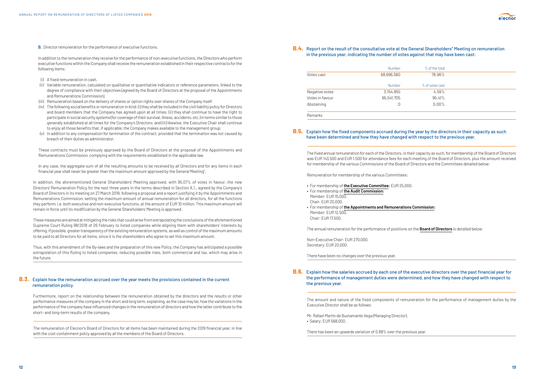**B.** Director remuneration for the performance of executive functions.

 In addition to the remuneration they receive for the performance of non-executive functions, the Directors who perform executive functions within the Company shall receive the remuneration established in their respective contracts for the following items:

- (i) A fixed remuneration in cash.
- (ii) Variable remuneration, calculated on qualitative or quantitative indicators or reference parameters, linked to the degree of compliance with their objectives (agreed by the Board of Directors at the proposal of the Appointments and Remunerations Commission).
- (iii) Remuneration based on the delivery of shares or option rights over shares of the Company itself.
- (iv) The following social benefits or remuneration in kind: (i) they shall be included in the civil liability policy for Directors and board members that the Company has agreed upon at all times; (ii) they shall continue to have the right to participate in social security systems (for coverage of their survival, illness, accidents, etc.) in terms similar to those generally established at all times for the Company's Directors; and (iii) likewise, the Executive Chair shall continue to enjoy all those benefits that, if applicable, the Company makes available to the management group.
- (v) In addition to any compensation for termination of the contract, provided that the termination was not caused by breach of their duties as administrator.

In addition, the aforementioned General Shareholders' Meeting approved, with 95.07% of votes in favour, the new Directors' Remuneration Policy for the next three years in the terms described in Section A.1., agreed by the Company's Board of Directors in its meeting on 27 March 2019, following a proposal and a report justifying it by the Appointments and Remunerations Commission, setting the maximum amount of annual remuneration for all directors, for all the functions they perform, i.e. both executive and non-executive functions, at the amount of EUR 10 million. This maximum amount will remain in force until its modification by the General Shareholders' Meeting is approved.

These contracts must be previously approved by the Board of Directors at the proposal of the Appointments and Remunerations Commission, complying with the requirements established in the applicable law.

In any case, the aggregate sum of all the resulting amounts to be received by all Directors and for any items in each financial year shall never be greater than the maximum amount approved by the General Meeting".

These measures are aimed at mitigating the risks that could arise from extrapolating the conclusions of the aforementioned Supreme Court Ruling 98/2018 of 26 February to listed companies while aligning them with shareholders' interests by offering, if possible, greater transparency of the existing remuneration systems, as well as control of the maximum amounts to be paid to all Directors for all items, since it is the shareholders who agree to set this maximum amount.

Thus, with this amendment of the By-laws and the preparation of this new Policy, the Company has anticipated a possible extrapolation of this Ruling to listed companies, reducing possible risks, both commercial and tax, which may arise in the future.

#### **B.3.** Explain how the remuneration accrued over the year meets the provisions contained in the current remuneration policy.

Furthermore, report on the relationship between the remuneration obtained by the directors and the results or other performance measures of the company in the short and long term, explaining, as the case may be, how the variations in the performance of the company have influenced changes in the remuneration of directors and how the latter contribute to the short- and long-term results of the company.

The remuneration of Elecnor's Board of Directors for all items has been maintained during the 2019 financial year, in line with the cost containment policy approved by all the members of the Board of Directors.

### **B.4.** Report on the result of the consultative vote at the General Shareholders'' Meeting on remuneration in the previous year, indicating the number of votes against that may have been cast:

|                 | Number        | % of the total  |  |
|-----------------|---------------|-----------------|--|
| Votes cast      | 68,696,560    | 78.96%          |  |
|                 | <b>Number</b> | % of votes cast |  |
| Negative votes  | 3,154,855     | 4.59%           |  |
| Votes in favour | 65,541,705    | 95.41%          |  |
| Abstaining      | 0             | $0.00\%$        |  |
| <b>Remarks</b>  |               |                 |  |

### **B.5.** Explain how the fixed components accrued during the year by the directors in their capacity as such have been determined and how they have changed with respect to the previous year.

The fixed annual remuneration for each of the Directors, in their capacity as such, for membership of the Board of Directors was EUR 143,500 and EUR 1,500 for attendance fees for each meeting of the Board of Directors, plus the amount received for membership of the various Commissions of the Board of Directors and the Committees detailed below:

Remuneration for membership of the various Committees:

- For membership of **the Executive Committee:** EUR 25,000.
- For membership of **the Audit Commission:** Member: EUR 15,000. Chair: EUR 20,000.
- For membership of **the Appointments and Remunerations Commission:** Member: EUR 12,500. Chair: EUR 17,500.

The annual remuneration for the performance of positions on the **Board of Directors** is detailed below:

Non-Executive Chair: EUR 270,000. Secretary: EUR 20,000.

There have been no changes over the previous year.

**B.6.** Explain how the salaries accrued by each one of the executive directors over the past financial year for the previous year.

## the performance of management duties were determined, and how they have changed with respect to

The amount and nature of the fixed components of remuneration for the performance of management duties by the Executive Director shall be as follows:

Mr. Rafael Martín de Bustamante Vega (Managing Director). • Salary: EUR 568,000.

There has been an upwards variation of 0.88% over the previous year.

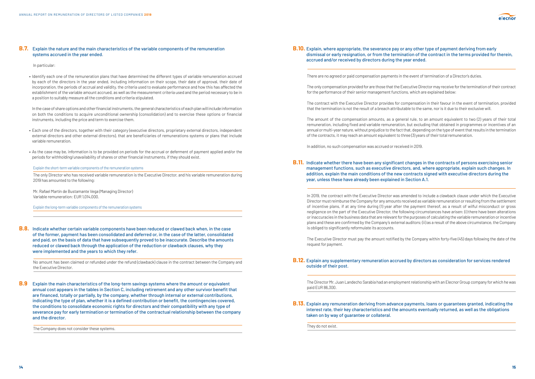#### **B.7.** Explain the nature and the main characteristics of the variable components of the remuneration systems accrued in the year ended.

In particular:

• Identify each one of the remuneration plans that have determined the different types of variable remuneration accrued by each of the directors in the year ended, including information on their scope, their date of approval, their date of incorporation, the periods of accrual and validity, the criteria used to evaluate performance and how this has affected the establishment of the variable amount accrued, as well as the measurement criteria used and the period necessary to be in a position to suitably measure all the conditions and criteria stipulated.

• In the case of share options and other financial instruments, the general characteristics of each plan will include information on both the conditions to acquire unconditional ownership (consolidation) and to exercise these options or financial instruments, including the price and term to exercise them.

- Each one of the directors, together with their category (executive directors, proprietary external directors, independent external directors and other external directors), that are beneficiaries of remunerations systems or plans that include variable remuneration.
- As the case may be, information is to be provided on periods for the accrual or deferment of payment applied and/or the periods for withholding/unavailability of shares or other financial instruments, if they should exist.

Explain the short-term variable components of the remuneration systems

The only Director who has received variable remuneration is the Executive Director, and his variable remuneration during 2019 has amounted to the following:

Mr. Rafael Martín de Bustamante Vega (Managing Director) Variable remuneration: EUR 1,014,000.

Explain the long-term variable components of the remuneration systems

**B.8.** Indicate whether certain variable components have been reduced or clawed back when, in the case of the former, payment has been consolidated and deferred or, in the case of the latter, consolidated and paid, on the basis of data that have subsequently proved to be inaccurate. Describe the amounts reduced or clawed back through the application of the reduction or clawback clauses, why they were implemented and the years to which they refer.

No amount has been claimed or refunded under the refund (clawback) clause in the contract between the Company and the Executive Director.

**B.9** Explain the main characteristics of the long-term savings systems where the amount or equivalent annual cost appears in the tables in Section C, including retirement and any other survivor benefit that are financed, totally or partially, by the company, whether through internal or external contributions, indicating the type of plan, whether it is a defined contribution or benefit, the contingencies covered, the conditions to consolidate economic rights for directors and their compatibility with any type of severance pay for early termination or termination of the contractual relationship between the company and the director.

The Company does not consider these systems.

### **B.10.** Explain, where appropriate, the severance pay or any other type of payment deriving from early dismissal or early resignation, or from the termination of the contract in the terms provided for therein, accrued and/or received by directors during the year ended.

There are no agreed or paid compensation payments in the event of termination of a Director's duties.

The only compensation provided for are those that the Executive Director may receive for the termination of their contract for the performance of their senior management functions, which are explained below:

The contract with the Executive Director provides for compensation in their favour in the event of termination, provided that the termination is not the result of a breach attributable to the same, nor is it due to their exclusive will.

The amount of the compensation amounts, as a general rule, to an amount equivalent to two (2) years of their total remuneration, including fixed and variable remuneration, but excluding that obtained in programmes or incentives of an annual or multi-year nature, without prejudice to the fact that, depending on the type of event that results in the termination of the contracts, it may reach an amount equivalent to three (3) years of their total remuneration.

In addition, no such compensation was accrued or received in 2019.

**B.11.** Indicate whether there have been any significant changes in the contracts of persons exercising senior year, unless these have already been explained in Section A.1.

## management functions, such as executive directors, and, where appropriate, explain such changes. In addition, explain the main conditions of the new contracts signed with executive directors during the

In 2019, the contract with the Executive Director was amended to include a clawback clause under which the Executive Director must reimburse the Company for any amounts received as variable remuneration or resulting from the settlement of incentive plans, if at any time during (1) year after the payment thereof, as a result of wilful misconduct or gross negligence on the part of the Executive Director, the following circumstances have arisen: (i) there have been alterations or inaccuracies in the business data that are relevant for the purposes of calculating the variable remuneration or incentive plans and these are confirmed by the Company's external auditors; (ii) as a result of the above circumstance, the Company is obliged to significantly reformulate its accounts.

The Executive Director must pay the amount notified by the Company within forty-five (45) days following the date of the request for payment.

#### **B.12.** Explain any supplementary remuneration accrued by directors as consideration for services rendered

outside of their post.

The Director Mr. Juan Landecho Sarabia had an employment relationship with an Elecnor Group company for which he was paid EUR 86,300.

### **B.13.** Explain any remuneration deriving from advance payments, loans or guarantees granted, indicating the interest rate, their key characteristics and the amounts eventually returned, as well as the obligations

taken on by way of guarantee or collateral.

They do not exist.

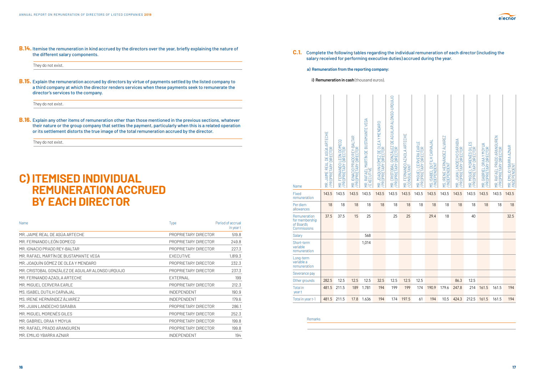**B.14.** Itemise the remuneration in kind accrued by the directors over the year, briefly explaining the nature of the different salary components.

They do not exist.

**B.15.** Explain the remuneration accrued by directors by virtue of payments settled by the listed company to a third company at which the director renders services when these payments seek to remunerate the director's services to the company.

They do not exist.

**B.16.** Explain any other items of remuneration other than those mentioned in the previous sections, whatever their nature or the group company that settles the payment, particularly when this is a related operation or its settlement distorts the true image of the total remuneration accrued by the director.

They do not exist.

## **C) ITEMISED INDIVIDUAL REMUNERATION ACCRUED BY EACH DIRECTOR**

| Name                                             | <b>Type</b>          | Period of accrual<br>in year t |
|--------------------------------------------------|----------------------|--------------------------------|
| MR. JAIME REAL DE ASÚA ARTECHE                   | PROPRIETARY DIRECTOR | 519.8                          |
| MR. FERNANDO LEÓN DOMECO                         | PROPRIETARY DIRECTOR | 249.8                          |
| MR. IGNACIO PRADO REY-BALTAR                     | PROPRIETARY DIRECTOR | 227.3                          |
| MR. RAFAEL MARTÍN DE BUSTAMANTE VEGA             | <b>EXECUTIVE</b>     | 1,819.3                        |
| MR. JOAQUÍN GÓMEZ DE OLEA Y MENDARO              | PROPRIETARY DIRECTOR | 232.3                          |
| MR. CRISTOBAL GONZÁLEZ DE AGUILAR ALONSO URQUIJO | PROPRIETARY DIRECTOR | 237.3                          |
| MR. FERNANDO AZAOLA ARTECHE                      | <b>EXTERNAL</b>      | 199                            |
| MR. MIGUEL CERVERA EARLE                         | PROPRIETARY DIRECTOR | 212.3                          |
| MS. ISABEL DUTILH CARVAJAL                       | <b>INDEPENDENT</b>   | 190.9                          |
| MS. IRENE HERNÁNDEZ ÁLVAREZ                      | <b>INDEPENDENT</b>   | 179.6                          |
| MR. JUAN LANDECHO SARABIA                        | PROPRIETARY DIRECTOR | 286.1                          |
| MR. MIGUEL MORENÉS GILES                         | PROPRIETARY DIRECTOR | 252.3                          |
| MR. GABRIEL ORAA Y MOYUA                         | PROPRIETARY DIRECTOR | 199.8                          |
| MR. RAFAEL PRADO ARANGUREN                       | PROPRIETARY DIRECTOR | 199.8                          |
| MR. EMILIO YBARRA AZNAR                          | <b>INDEPENDENT</b>   | 194                            |

**C.1.** Complete the following tables regarding the individual remuneration of each director (including the salary received for performing executive duties) accrued during the year.

#### **a) Remuneration from the reporting company:**

**i) Remuneration in cash** (thousand euros).

Remarks



| Name                                                        | MR. JAIME REAL DE ASÚA ARTECHE<br>PROPRIETARY DIRECTOR | MR. FERNANDO LEÓN DOMECO<br>/ PROPRIETARY DIRECTOR | MR. IGNACIO PRADO REY-BALTAR<br>/ PROPRIETARY DIRECTOR | MR. RAFAEL MARTÍN DE BUSTAMANTE VEGA<br>/ EXECUTIVE | MR. JOAQUIN GÓMEZ DE OLEA Y MENDARO<br>/ PROPRIETARY DIRECTOR | MR. CRISTOBAL GONZÁLEZ DE AGUILAR ALONSO-URQUIJO<br>/ PROPRIETARY DIRECTOR | MR. FERNANDO AZAOLA ARTECHE<br>/ CONSULTANT | ш<br>MR. MIGUEL CERVERA EARL<br>/ PROPRIETARY DIRECTOR | MS. ISABEL DUTILH CARVAJAI<br>/ INDEPENDENT | MS. IRENE HERNÁNDEZ ÁLVAREZ<br>/ INDEPENDENT | MR. JUAN LANDECHO SARABIA<br>/ PROPRIETARY DIRECTOR | MR. MIGUEL MORENÉS GILES<br>/ PROPRIETARY DIRECTOR | MR. GABRIEL ORAA Y MOYUA<br>/ PROPRIETARY DIRECTOR | MR. RAFAEL PRADO ARANGUREN<br>/ PROPRIETARY DIRECTOR | MR. EMILIO YBARRA AZNAR<br>/INDEPENDENT |
|-------------------------------------------------------------|--------------------------------------------------------|----------------------------------------------------|--------------------------------------------------------|-----------------------------------------------------|---------------------------------------------------------------|----------------------------------------------------------------------------|---------------------------------------------|--------------------------------------------------------|---------------------------------------------|----------------------------------------------|-----------------------------------------------------|----------------------------------------------------|----------------------------------------------------|------------------------------------------------------|-----------------------------------------|
| Fixed<br>remuneration                                       | 143.5                                                  | 143.5                                              | 143.5                                                  | 143.5                                               | 143.5                                                         | 143.5                                                                      | 143.5                                       | 143.5                                                  | 143.5                                       | 143.5                                        | 143.5                                               | 143.5                                              | 143.5                                              | 143.5                                                | 143.5                                   |
| Per diem<br>allowances                                      | 18                                                     | 18                                                 | 18                                                     | 18                                                  | 18                                                            | 18                                                                         | 18                                          | 18                                                     | 18                                          | 18                                           | 18                                                  | 18                                                 | 18                                                 | 18                                                   | 18                                      |
| Remuneration<br>for membership<br>of Board's<br>Commissions | 37.5                                                   | 37.5                                               | 15                                                     | 25                                                  |                                                               | 25                                                                         | 25                                          |                                                        | 29.4                                        | 18                                           |                                                     | 40                                                 |                                                    |                                                      | 32.5                                    |
| Salary                                                      |                                                        |                                                    |                                                        | 568                                                 |                                                               |                                                                            |                                             |                                                        |                                             |                                              |                                                     |                                                    |                                                    |                                                      |                                         |
| Short-term<br>variable<br>remuneration                      |                                                        |                                                    |                                                        | 1,014                                               |                                                               |                                                                            |                                             |                                                        |                                             |                                              |                                                     |                                                    |                                                    |                                                      |                                         |
| Long-term<br>variable a<br>remuneration                     |                                                        |                                                    |                                                        |                                                     |                                                               |                                                                            |                                             |                                                        |                                             |                                              |                                                     |                                                    |                                                    |                                                      |                                         |
| Severance pay                                               |                                                        |                                                    |                                                        |                                                     |                                                               |                                                                            |                                             |                                                        |                                             |                                              |                                                     |                                                    |                                                    |                                                      |                                         |
| Other grounds                                               | 282.5                                                  | 12.5                                               | 12.5                                                   | 12.5                                                | 32.5                                                          | 12.5                                                                       | 12.5                                        | 12.5                                                   |                                             |                                              | 86.3                                                | 12.5                                               |                                                    |                                                      |                                         |
| <b>Total</b> in<br>year t                                   | 481.5                                                  | 211.5                                              | 189                                                    | 1.781                                               | 194                                                           | 199                                                                        | 199                                         | 174                                                    | 190.9                                       | 179.6                                        | 247.8                                               | 214                                                | 161.5                                              | 161.5                                                | 194                                     |
| Total in year t-1                                           | 481.5                                                  | 211.5                                              | 17.8                                                   | 1.636                                               | 194                                                           | 174                                                                        | 197.5                                       | 61                                                     | 194                                         | 10.5                                         | 424.3                                               | 212.5                                              | 161.5                                              | 161.5                                                | 194                                     |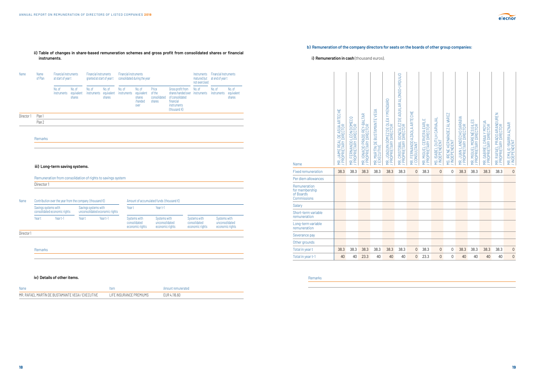#### **ii) Table of changes in share-based remuneration schemes and gross profit from consolidated shares or financial instruments.**

## **<sup>18</sup> <sup>19</sup>** MR. JAIME REAL DE ASÚA ARTECHE / PROPRIETARY DIRECTOR MR. FERNANDO LEÓN DOMECQ / PROPRIETARY DIRECTOR MR. IGNACIO PRADO REY-BALTAR / PROPRIETARY DIRECTOR MR. MARTÍN DE BUSTAMANTE VEGA / EXECUTIVE MR. JOAQUIN GÓMEZ DE OLEA Y MENDARO / PROPRIETARY DIRECTOR MR. CRISTOBAL GONZÁLEZ DE AGUILAR ALONSO-URQUIJO / PROPRIETARY DIRECTOR MR. FERNANDO AZAOLA ARTECHE / CONSULTANT MR. MIGUEL CERVERA EARLE / PROPRIETARY DIRECTOR MS. ISABEL DUTILH CARVAJAL / INDEPENDENT MS. IRENE HERNÁNDEZ ÁLVAREZ / INDEPENDENT MR. JUAN LANDECHO SARABIA / PROPRIETARY DIRECTOR MR. MIGUEL MORENÉS GILES / PROPRIETARY DIRECTOR MR. GABRIEL ORAA Y MOYUA / PROPRIETARY DIRECTOR MR. RAFAEL PRADO ARANGUREN / PROPRIETARY DIRECTOR MR. EMILIO YBARRA AZNAR / INDEPENDENT Name Name Financial instruments Financial instruments Financial instruments Financial instruments Financial Instruments<br>of Plan at start of vear to cranted at start of vear to consolidated during the vear start and the mat matured but at end of year t not exercised No. of No. of No. of No. of No. of No. of Price Gross profit from No. of No. of No. of No. of No. of No. of No<br>Instruments equivalent instruments equivalent instruments equivalent of the shares handed over instruments inst instruments equivalent instruments equivalent instruments equivalent of the shares handed over instruments instruments equivalent shares shares shares shares shares shares consolidated of consolidated shares shares /handed shares financial over the contraction of the contraction of the contraction of the contraction of the contraction of the contraction of the contraction of the contraction of the contraction of the contraction of the contraction of the cont  $\,$  (thousand  $\,\mathsf{t})$ Director 1 Plan 1 Plan 2 Remarks  **iii) Long-term saving systems.** Remuneration from consolidation of rights to savings system Director 1 Name Contribution over the year from the company (thousand  $\epsilon$ ) Amount of accumulated funds (thousand  $\epsilon$ ) Savings systems with Savings systems with Year to Year t-1 consolidated economic rights unconsolidated economic rights Year t Year t-1 Year Year Year t-1 Systems with Systems with Systems with Systems with Systems with consolidated unconsolidated consolidated unconsolidated economic rights economic rights economic rights economic rights Director 1 Remarks  **iv) Details of other items.**

| Name                                                                | lten.                         | Inerated |
|---------------------------------------------------------------------|-------------------------------|----------|
| MR<br>TIN DE RUSTAMANTE VEGA / EXEC<br>. LEIVE –<br>MARI<br>- 스 - I | LIRANCE PREMILIMS<br>INN<br>. | n.bl     |

### **b) Remuneration of the company directors for seats on the boards of other group companies:**

| Name                                                        | MR. JAIME REAL DE ASÚA ARTECHE<br>/ PROPRIETARY DIRECTOR | MR. FERNANDO LEÓN DOMECO<br>/ PROPRIETARY DIRECTOR | MR. IGNACIO PRADO REY-BALTAR<br>/ PROPRIETARY DIRECTOR | MR. MARTÍN DE BUSTAMANTE VEGA<br>/ EXECUTIVE | MR. JOAQUIN GÓMEZ DE OLEA Y MENDARO<br>/ PROPRIETARY DIRECTOR | MR. CRISTOBAL GONZÁLEZ DE AGUILAR ALONSO-URQU<br>/ PROPRIFTARY DIRFCTOR |
|-------------------------------------------------------------|----------------------------------------------------------|----------------------------------------------------|--------------------------------------------------------|----------------------------------------------|---------------------------------------------------------------|-------------------------------------------------------------------------|
| <b>Fixed remuneration</b>                                   | 38.3                                                     | 38.3                                               | 38.3                                                   | 38.3                                         | 38.3                                                          | 38.3                                                                    |
| Per diem allowances                                         |                                                          |                                                    |                                                        |                                              |                                                               |                                                                         |
| Remuneration<br>for membership<br>of Board's<br>Commissions |                                                          |                                                    |                                                        |                                              |                                                               |                                                                         |

**i) Remuneration in cash** (thousand euros).

Salary



Short-term variable remuneration Long-term variable remuneration Severance pay Other grounds



Remarks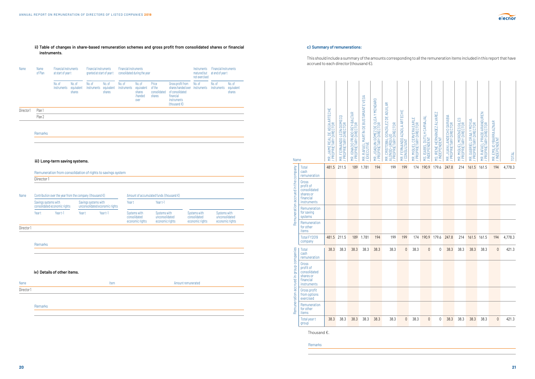

#### **ii) Table of changes in share-based remuneration schemes and gross profit from consolidated shares or financial instruments.**

### Name Name Financial instruments Financial instruments Financial instruments Financial instruments Financial Instruments<br>of Plan at start of year two granted at start of year two consolidated during the year start of the ma at start of year t granted at start of year t consolidated during the year not exercised No. of No. of No. of No. of No. of No. of No. of Price Gross profit from No. of No. of No. of Instruments equivalent instruments equivalent instruments equivalent instruments equivalent instruments equivalent instruments e instruments equivalent instruments equivalent instruments equivalent of the shares handed over instruments instruments equivalent shares shares shares shares shares shares consolidated of consolidated shares shares /handed shares financial over the contraction of the contraction of the contraction of the contraction of the contraction of the contraction of the contraction of the contraction of the contraction of the contraction of the contraction of the cont  $\,$  (thousand  $\,\mathsf{t}$ ) is the contract of the contract of the contract of the contract of the contract of the contract of the contract of the contract of the contract of the contract of the contract of the contract of Director1 Plan 1 Plan 2 Remarks  **iii) Long-term saving systems.** Remuneration from consolidation of rights to savings system Director 1 Name Contribution over the year from the company (thousand  $\epsilon$ ) Amount of accumulated funds (thousand  $\epsilon$ ) Savings systems with Savings systems with Year to Year t-1 consolidated economic rights unconsolidated economic rights Year t Year t-1 Year Year Year t-1 Systems with Systems with Systems with Systems with Systems with consolidated unconsolidated consolidated unconsolidated economic rights economic rights economic rights economic rights Director 1 Remarks  **iv) Details of other items.** Name **Item Amount remunerated Item Item Amount remunerated Amount remunerated** Director 1 Remarks

#### **c) Summary of remunerations:**

### This should include a summary of the amounts corresponding to all the remuneration items included in this report that have

accrued to each director (thousand €).

Thousand €.

Remarks

| Name                                    |                                                                             | MR. JAIME REAL DE ASÚA ARTECHE<br>/ PROPRIETARY DIRECTOR | MR. FERNANDO LEÓN DOMECO<br>/ PROPRIETARY DIRECTOR | MR. IGNACIO PRADO REY-BALTAR<br>/ PROPRIETARY DIRECTOR | MR. RAFAEL MARTÍN DE BUSTAMANTE VEGA<br>/ EXECUTIVE | MR. JOAQUIN GÓMEZ DE OLEA Y MENDARO<br>/ PROPRIETARY DIRECTOR | MR. CRISTOBAL GONZÁLEZ DE AGUILAR<br>ALONSO-URQUIJO<br>/ PROPRIETARY DIRECTOR | MR. FERNANDO AZAOLA ARTECHE<br>/ CONSULTANT | ш<br>MR. MIGUEL CERVERA EARL<br>/ PROPRIETARY DIRECTOR | MS. ISABEL DUTILH CARVAJAI<br>/ INDEPENDENT | MS. IRENE HERNÁNDEZ ÁLVAREZ<br>/ INDEPENDENT | MR. JUAN LANDECHO SARABIA<br>/ PROPRIETARY DIRECTOR | MR. MIGUEL MORENÉS GILES<br>/ PROPRIETARY DIRECTOR | MR. GABRIEL ORAA Y MOYUA<br>/ PROPRIETARY DIRECTOR | MR. RAFAEL PRADO ARANGUREN<br>/ PROPRIETARY DIRECTOR | MR. EMILIO YBARRA AZNAR<br>/ INDEPENDENT | TOTAL   |
|-----------------------------------------|-----------------------------------------------------------------------------|----------------------------------------------------------|----------------------------------------------------|--------------------------------------------------------|-----------------------------------------------------|---------------------------------------------------------------|-------------------------------------------------------------------------------|---------------------------------------------|--------------------------------------------------------|---------------------------------------------|----------------------------------------------|-----------------------------------------------------|----------------------------------------------------|----------------------------------------------------|------------------------------------------------------|------------------------------------------|---------|
|                                         | Total<br>cash<br>remuneration                                               | 481.5                                                    | 211.5                                              | 189                                                    | 1.781                                               | 194                                                           | 199                                                                           | 199                                         | 174                                                    | 190.9                                       | 179.6                                        | 247.8                                               | 214                                                | 161.5                                              | 161.5                                                | 194                                      | 4,778.3 |
| Remuneration accrued in the company     | Gross<br>profit of<br>consolidated<br>shares or<br>financial<br>instruments |                                                          |                                                    |                                                        |                                                     |                                                               |                                                                               |                                             |                                                        |                                             |                                              |                                                     |                                                    |                                                    |                                                      |                                          |         |
|                                         | Remuneration<br>for saving<br>systems                                       |                                                          |                                                    |                                                        |                                                     |                                                               |                                                                               |                                             |                                                        |                                             |                                              |                                                     |                                                    |                                                    |                                                      |                                          |         |
|                                         | Remuneration<br>for other<br>items                                          |                                                          |                                                    |                                                        |                                                     |                                                               |                                                                               |                                             |                                                        |                                             |                                              |                                                     |                                                    |                                                    |                                                      |                                          |         |
|                                         | Total FY2019<br>company                                                     |                                                          | 481.5 211.5                                        | 189                                                    | 1.781                                               | 194                                                           | 199                                                                           | 199                                         | 174                                                    | 190.9                                       | 179.6                                        | 247.8                                               | 214                                                | 161.5                                              | 161.5                                                | 194                                      | 4,778.3 |
|                                         | Total<br>cash<br>remuneration                                               | 38.3                                                     | 38.3                                               | 38.3                                                   | 38.3                                                | 38.3                                                          | 38.3                                                                          | 0                                           | 38.3                                                   | $\theta$                                    | 0                                            | 38.3                                                | 38.3                                               | 38.3                                               | 38.3                                                 | $\theta$                                 | 421.3   |
| Remuneration accrued in group companies | Gross<br>profit of<br>consolidated<br>shares or<br>financial<br>instruments |                                                          |                                                    |                                                        |                                                     |                                                               |                                                                               |                                             |                                                        |                                             |                                              |                                                     |                                                    |                                                    |                                                      |                                          |         |
|                                         | Gross profit<br>from options<br>exercised                                   |                                                          |                                                    |                                                        |                                                     |                                                               |                                                                               |                                             |                                                        |                                             |                                              |                                                     |                                                    |                                                    |                                                      |                                          |         |
|                                         | Remuneration<br>for other<br>items                                          |                                                          |                                                    |                                                        |                                                     |                                                               |                                                                               |                                             |                                                        |                                             |                                              |                                                     |                                                    |                                                    |                                                      |                                          |         |
|                                         | Total year t<br>group                                                       | 38.3                                                     | 38.3                                               | 38.3                                                   | 38.3                                                | 38.3                                                          | 38.3                                                                          | 0                                           | 38.3                                                   | $\mathsf{O}\xspace$                         | 0                                            | 38.3                                                | 38.3                                               | 38.3                                               | 38.3                                                 | $\mathsf{O}\xspace$                      | 421.3   |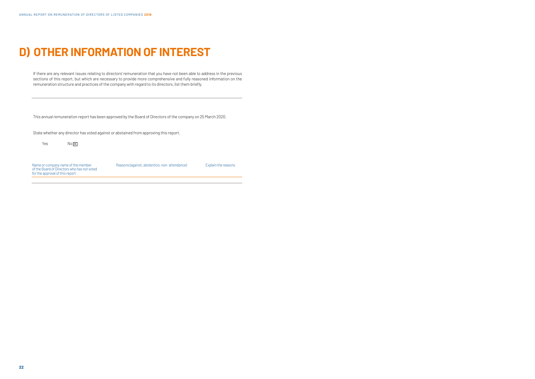# **D) OTHER INFORMATION OF INTEREST**

If there are any relevant issues relating to directors' remuneration that you have not been able to address in the previous sections of this report, but which are necessary to provide more comprehensive and fully reasoned information on the remuneration structure and practices of the company with regard to its directors, list them briefly.

| Name or company name of the member<br>of the Board of Directors who has not voted<br>for the approval of this report | Reasons (against, abstention, non-attendance) | Explain the reasons |
|----------------------------------------------------------------------------------------------------------------------|-----------------------------------------------|---------------------|
|                                                                                                                      |                                               |                     |

This annual remuneration report has been approved by the Board of Directors of the company on 25 March 2020.

State whether any director has voted against or abstained from approving this report.

 $Yes$   $No \overline{X}$